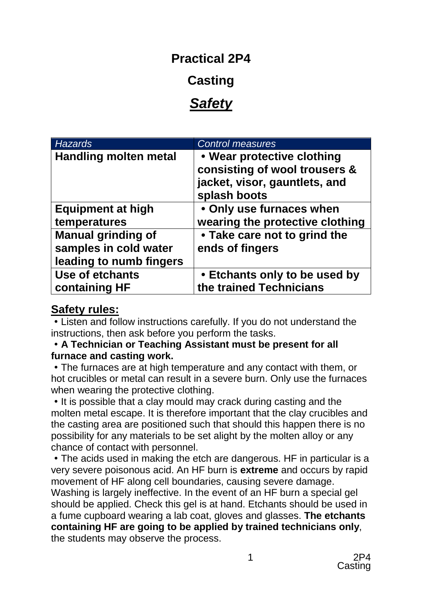## **Practical 2P4**

# **Casting**

# *Safety*

| <b>Hazards</b>                                                                | <b>Control measures</b>                                                                                      |
|-------------------------------------------------------------------------------|--------------------------------------------------------------------------------------------------------------|
| <b>Handling molten metal</b>                                                  | • Wear protective clothing<br>consisting of wool trousers &<br>jacket, visor, gauntlets, and<br>splash boots |
| <b>Equipment at high</b><br>temperatures                                      | • Only use furnaces when<br>wearing the protective clothing                                                  |
| <b>Manual grinding of</b><br>samples in cold water<br>leading to numb fingers | • Take care not to grind the<br>ends of fingers                                                              |
| <b>Use of etchants</b><br>containing HF                                       | • Etchants only to be used by<br>the trained Technicians                                                     |

### **Safety rules:**

Listen and follow instructions carefully. If you do not understand the instructions, then ask before you perform the tasks.

#### **A Technician or Teaching Assistant must be present for all furnace and casting work.**

The furnaces are at high temperature and any contact with them, or hot crucibles or metal can result in a severe burn. Only use the furnaces when wearing the protective clothing.

• It is possible that a clay mould may crack during casting and the molten metal escape. It is therefore important that the clay crucibles and the casting area are positioned such that should this happen there is no possibility for any materials to be set alight by the molten alloy or any chance of contact with personnel.

The acids used in making the etch are dangerous. HF in particular is a very severe poisonous acid. An HF burn is **extreme** and occurs by rapid movement of HF along cell boundaries, causing severe damage. Washing is largely ineffective. In the event of an HF burn a special gel should be applied. Check this gel is at hand. Etchants should be used in a fume cupboard wearing a lab coat, gloves and glasses. **The etchants containing HF are going to be applied by trained technicians only**, the students may observe the process.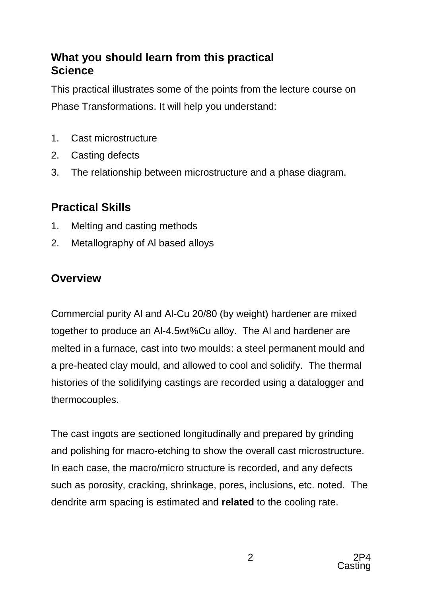### **What you should learn from this practical Science**

This practical illustrates some of the points from the lecture course on Phase Transformations. It will help you understand:

- 1. Cast microstructure
- 2. Casting defects
- 3. The relationship between microstructure and a phase diagram.

## **Practical Skills**

- 1. Melting and casting methods
- 2. Metallography of Al based alloys

## **Overview**

Commercial purity Al and Al-Cu 20/80 (by weight) hardener are mixed together to produce an Al-4.5wt%Cu alloy. The Al and hardener are melted in a furnace, cast into two moulds: a steel permanent mould and a pre-heated clay mould, and allowed to cool and solidify. The thermal histories of the solidifying castings are recorded using a datalogger and thermocouples.

The cast ingots are sectioned longitudinally and prepared by grinding and polishing for macro-etching to show the overall cast microstructure. In each case, the macro/micro structure is recorded, and any defects such as porosity, cracking, shrinkage, pores, inclusions, etc. noted. The dendrite arm spacing is estimated and **related** to the cooling rate.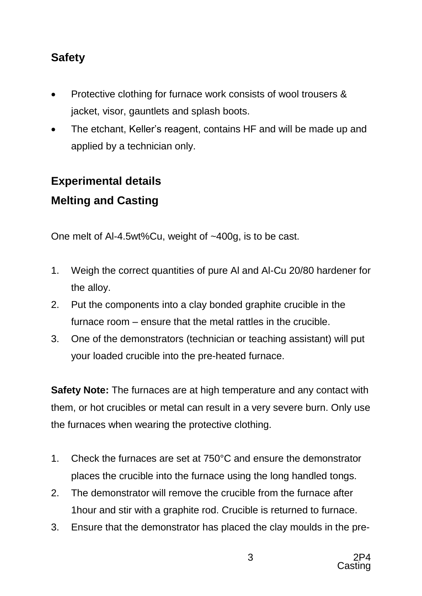## **Safety**

- Protective clothing for furnace work consists of wool trousers & jacket, visor, gauntlets and splash boots.
- The etchant, Keller's reagent, contains HF and will be made up and applied by a technician only.

# **Experimental details Melting and Casting**

One melt of Al-4.5wt%Cu, weight of ~400g, is to be cast.

- 1. Weigh the correct quantities of pure Al and Al-Cu 20/80 hardener for the alloy.
- 2. Put the components into a clay bonded graphite crucible in the furnace room – ensure that the metal rattles in the crucible.
- 3. One of the demonstrators (technician or teaching assistant) will put your loaded crucible into the pre-heated furnace.

**Safety Note:** The furnaces are at high temperature and any contact with them, or hot crucibles or metal can result in a very severe burn. Only use the furnaces when wearing the protective clothing.

- 1. Check the furnaces are set at 750°C and ensure the demonstrator places the crucible into the furnace using the long handled tongs.
- 2. The demonstrator will remove the crucible from the furnace after 1hour and stir with a graphite rod. Crucible is returned to furnace.
- 3. Ensure that the demonstrator has placed the clay moulds in the pre-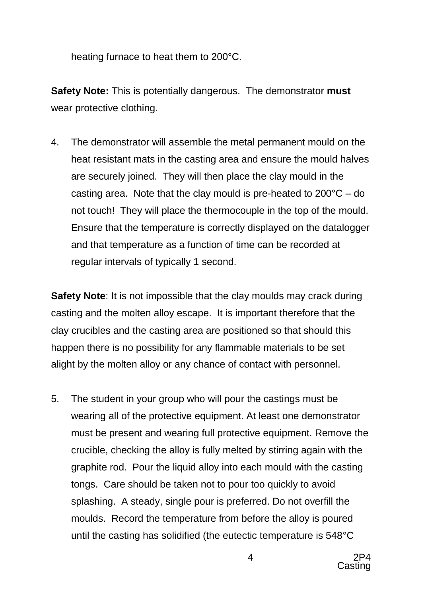heating furnace to heat them to 200°C.

**Safety Note:** This is potentially dangerous. The demonstrator **must** wear protective clothing.

4. The demonstrator will assemble the metal permanent mould on the heat resistant mats in the casting area and ensure the mould halves are securely joined. They will then place the clay mould in the casting area. Note that the clay mould is pre-heated to 200°C – do not touch! They will place the thermocouple in the top of the mould. Ensure that the temperature is correctly displayed on the datalogger and that temperature as a function of time can be recorded at regular intervals of typically 1 second.

**Safety Note:** It is not impossible that the clay moulds may crack during casting and the molten alloy escape. It is important therefore that the clay crucibles and the casting area are positioned so that should this happen there is no possibility for any flammable materials to be set alight by the molten alloy or any chance of contact with personnel.

5. The student in your group who will pour the castings must be wearing all of the protective equipment. At least one demonstrator must be present and wearing full protective equipment. Remove the crucible, checking the alloy is fully melted by stirring again with the graphite rod. Pour the liquid alloy into each mould with the casting tongs. Care should be taken not to pour too quickly to avoid splashing. A steady, single pour is preferred. Do not overfill the moulds. Record the temperature from before the alloy is poured until the casting has solidified (the eutectic temperature is 548°C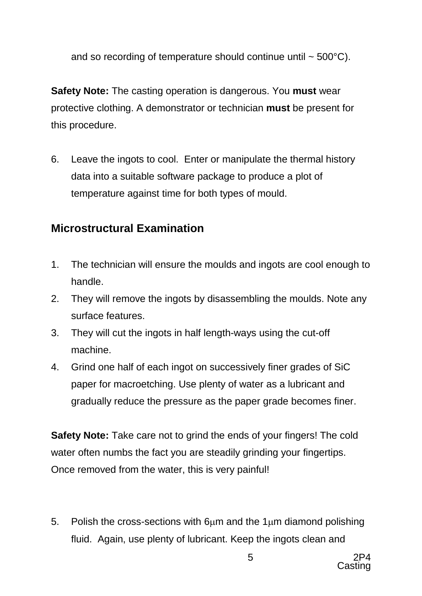and so recording of temperature should continue until  $\sim$  500 $^{\circ}$ C).

**Safety Note:** The casting operation is dangerous. You **must** wear protective clothing. A demonstrator or technician **must** be present for this procedure.

6. Leave the ingots to cool. Enter or manipulate the thermal history data into a suitable software package to produce a plot of temperature against time for both types of mould.

### **Microstructural Examination**

- 1. The technician will ensure the moulds and ingots are cool enough to handle.
- 2. They will remove the ingots by disassembling the moulds. Note any surface features.
- 3. They will cut the ingots in half length-ways using the cut-off machine.
- 4. Grind one half of each ingot on successively finer grades of SiC paper for macroetching. Use plenty of water as a lubricant and gradually reduce the pressure as the paper grade becomes finer.

**Safety Note:** Take care not to grind the ends of your fingers! The cold water often numbs the fact you are steadily grinding your fingertips. Once removed from the water, this is very painful!

5. Polish the cross-sections with  $6\mu$ m and the  $1\mu$ m diamond polishing fluid. Again, use plenty of lubricant. Keep the ingots clean and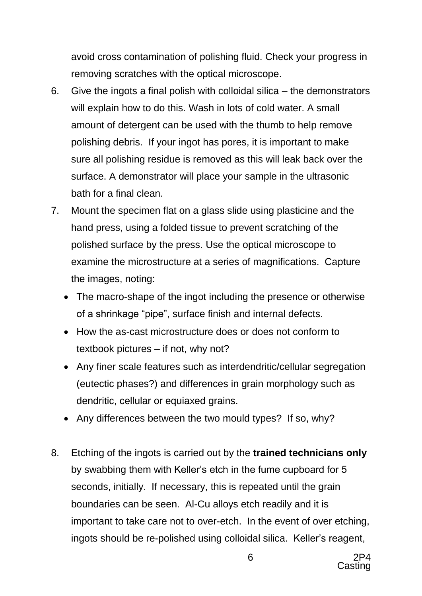avoid cross contamination of polishing fluid. Check your progress in removing scratches with the optical microscope.

- 6. Give the ingots a final polish with colloidal silica the demonstrators will explain how to do this. Wash in lots of cold water. A small amount of detergent can be used with the thumb to help remove polishing debris. If your ingot has pores, it is important to make sure all polishing residue is removed as this will leak back over the surface. A demonstrator will place your sample in the ultrasonic bath for a final clean.
- 7. Mount the specimen flat on a glass slide using plasticine and the hand press, using a folded tissue to prevent scratching of the polished surface by the press. Use the optical microscope to examine the microstructure at a series of magnifications. Capture the images, noting:
	- The macro-shape of the ingot including the presence or otherwise of a shrinkage "pipe", surface finish and internal defects.
	- How the as-cast microstructure does or does not conform to textbook pictures – if not, why not?
	- Any finer scale features such as interdendritic/cellular segregation (eutectic phases?) and differences in grain morphology such as dendritic, cellular or equiaxed grains.
	- Any differences between the two mould types? If so, why?
- 8. Etching of the ingots is carried out by the **trained technicians only** by swabbing them with Keller's etch in the fume cupboard for 5 seconds, initially. If necessary, this is repeated until the grain boundaries can be seen. Al-Cu alloys etch readily and it is important to take care not to over-etch. In the event of over etching, ingots should be re-polished using colloidal silica. Keller's reagent,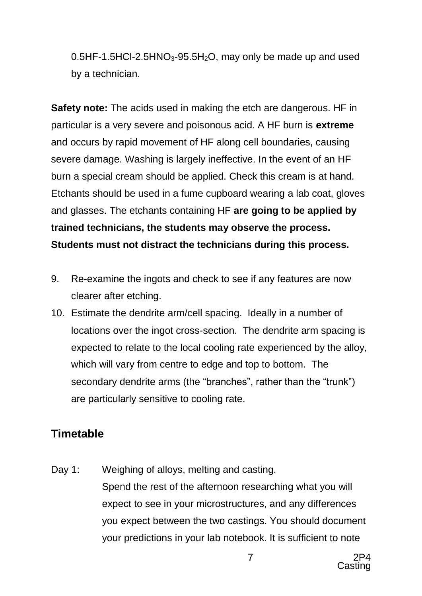$0.5$ HF-1.5HCl-2.5HNO<sub>3</sub>-95.5H<sub>2</sub>O, may only be made up and used by a technician.

**Safety note:** The acids used in making the etch are dangerous. HF in particular is a very severe and poisonous acid. A HF burn is **extreme** and occurs by rapid movement of HF along cell boundaries, causing severe damage. Washing is largely ineffective. In the event of an HF burn a special cream should be applied. Check this cream is at hand. Etchants should be used in a fume cupboard wearing a lab coat, gloves and glasses. The etchants containing HF **are going to be applied by trained technicians, the students may observe the process. Students must not distract the technicians during this process.**

- 9. Re-examine the ingots and check to see if any features are now clearer after etching.
- 10. Estimate the dendrite arm/cell spacing. Ideally in a number of locations over the ingot cross-section. The dendrite arm spacing is expected to relate to the local cooling rate experienced by the alloy, which will vary from centre to edge and top to bottom. The secondary dendrite arms (the "branches", rather than the "trunk") are particularly sensitive to cooling rate.

### **Timetable**

Day 1: Weighing of alloys, melting and casting. Spend the rest of the afternoon researching what you will expect to see in your microstructures, and any differences you expect between the two castings. You should document your predictions in your lab notebook. It is sufficient to note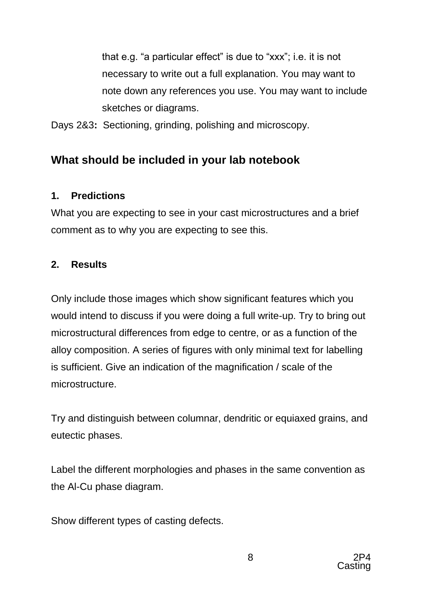that e.g. "a particular effect" is due to "xxx"; i.e. it is not necessary to write out a full explanation. You may want to note down any references you use. You may want to include sketches or diagrams.

Days 2&3**:** Sectioning, grinding, polishing and microscopy.

## **What should be included in your lab notebook**

### **1. Predictions**

What you are expecting to see in your cast microstructures and a brief comment as to why you are expecting to see this.

### **2. Results**

Only include those images which show significant features which you would intend to discuss if you were doing a full write-up. Try to bring out microstructural differences from edge to centre, or as a function of the alloy composition. A series of figures with only minimal text for labelling is sufficient. Give an indication of the magnification / scale of the microstructure.

Try and distinguish between columnar, dendritic or equiaxed grains, and eutectic phases.

Label the different morphologies and phases in the same convention as the Al-Cu phase diagram.

Show different types of casting defects.